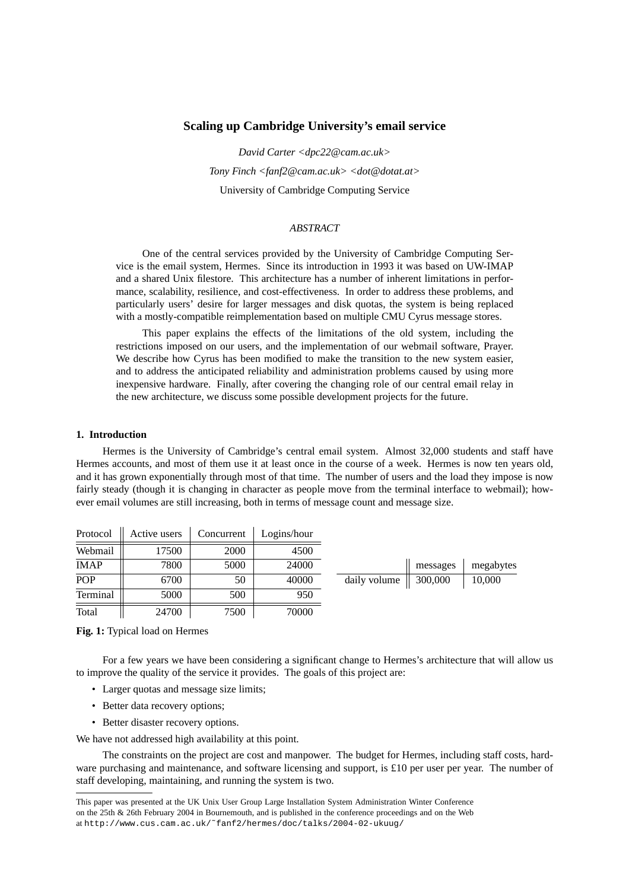# **Scaling up Cambridge University's email service**

*David Carter <dpc22@cam.ac.uk> Tony Finch <fanf2@cam.ac.uk> <dot@dotat.at>* University of Cambridge Computing Service

### *ABSTRACT*

One of the central services provided by the University of Cambridge Computing Service is the email system, Hermes. Since its introduction in 1993 it was based on UW-IMAP and a shared Unix filestore. This architecture has a number of inherent limitations in performance, scalability, resilience, and cost-effectiveness. In order to address these problems, and particularly users' desire for larger messages and disk quotas, the system is being replaced with a mostly-compatible reimplementation based on multiple CMU Cyrus message stores.

This paper explains the effects of the limitations of the old system, including the restrictions imposed on our users, and the implementation of our webmail software, Prayer. We describe how Cyrus has been modified to make the transition to the new system easier, and to address the anticipated reliability and administration problems caused by using more inexpensive hardware. Finally, after covering the changing role of our central email relay in the new architecture, we discuss some possible development projects for the future.

# **1. Introduction**

 $\mathbb{R}^2$ 

Hermes is the University of Cambridge's central email system. Almost 32,000 students and staff have Hermes accounts, and most of them use it at least once in the course of a week. Hermes is now ten years old, and it has grown exponentially through most of that time. The number of users and the load they impose is now fairly steady (though it is changing in character as people move from the terminal interface to webmail); however email volumes are still increasing, both in terms of message count and message size.

| Protocol    | Active users | Concurrent | Logins/hour |              |          |           |
|-------------|--------------|------------|-------------|--------------|----------|-----------|
| Webmail     | 17500        | 2000       | 4500        |              |          |           |
| <b>IMAP</b> | 7800         | 5000       | 24000       |              | messages | megabytes |
| POP         | 6700         | 50         | 40000       | daily volume | 300,000  | 10,000    |
| Terminal    | 5000         | 500        | 950         |              |          |           |
| Total       | 24700        | 7500       | 70000       |              |          |           |

**Fig. 1:** Typical load on Hermes

For a few years we have been considering a significant change to Hermes's architecture that will allow us to improve the quality of the service it provides. The goals of this project are:

- Larger quotas and message size limits;
- Better data recovery options;
- Better disaster recovery options.

We have not addressed high availability at this point.

The constraints on the project are cost and manpower. The budget for Hermes, including staff costs, hardware purchasing and maintenance, and software licensing and support, is £10 per user per year. The number of staff developing, maintaining, and running the system is two.

This paper was presented at the UK Unix User Group Large Installation System Administration Winter Conference on the 25th & 26th February 2004 in Bournemouth, and is published in the conference proceedings and on the Web at http://www.cus.cam.ac.uk/˜fanf2/hermes/doc/talks/2004-02-ukuug/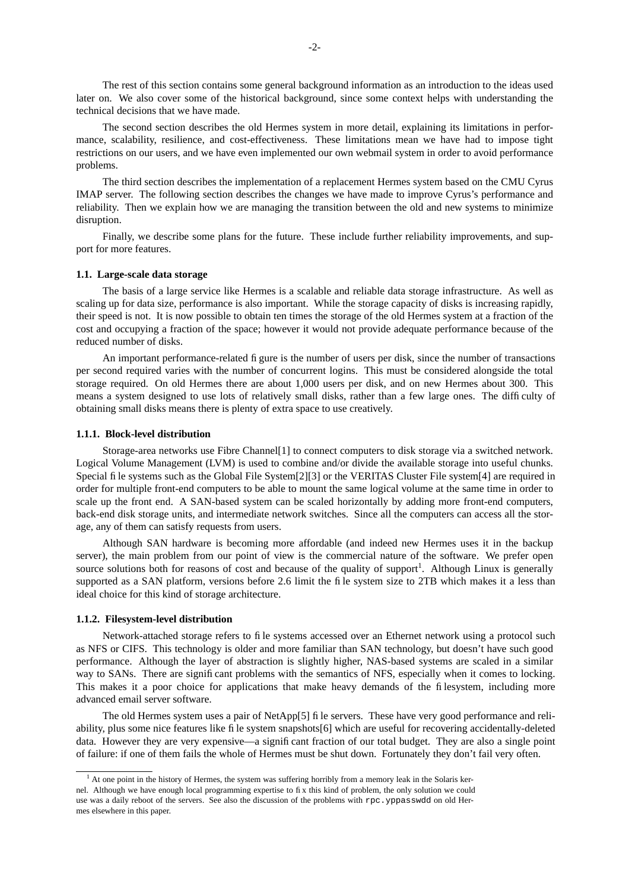The rest of this section contains some general background information as an introduction to the ideas used later on. We also cover some of the historical background, since some context helps with understanding the technical decisions that we have made.

The second section describes the old Hermes system in more detail, explaining its limitations in performance, scalability, resilience, and cost-effectiveness. These limitations mean we have had to impose tight restrictions on our users, and we have even implemented our own webmail system in order to avoid performance problems.

The third section describes the implementation of a replacement Hermes system based on the CMU Cyrus IMAP server. The following section describes the changes we have made to improve Cyrus's performance and reliability. Then we explain how we are managing the transition between the old and new systems to minimize disruption.

Finally, we describe some plans for the future. These include further reliability improvements, and support for more features.

### **1.1. Large-scale data storage**

The basis of a large service like Hermes is a scalable and reliable data storage infrastructure. As well as scaling up for data size, performance is also important. While the storage capacity of disks is increasing rapidly, their speed is not. It is now possible to obtain ten times the storage of the old Hermes system at a fraction of the cost and occupying a fraction of the space; however it would not provide adequate performance because of the reduced number of disks.

An important performance-related figure is the number of users per disk, since the number of transactions per second required varies with the number of concurrent logins. This must be considered alongside the total storage required. On old Hermes there are about 1,000 users per disk, and on new Hermes about 300. This means a system designed to use lots of relatively small disks, rather than a few large ones. The difficulty of obtaining small disks means there is plenty of extra space to use creatively.

## **1.1.1. Block-level distribution**

Storage-area networks use Fibre Channel[1] to connect computers to disk storage via a switched network. Logical Volume Management (LVM) is used to combine and/or divide the available storage into useful chunks. Special file systems such as the Global File System[2][3] or the VERITAS Cluster File system[4] are required in order for multiple front-end computers to be able to mount the same logical volume at the same time in order to scale up the front end. A SAN-based system can be scaled horizontally by adding more front-end computers, back-end disk storage units, and intermediate network switches. Since all the computers can access all the storage, any of them can satisfy requests from users.

Although SAN hardware is becoming more affordable (and indeed new Hermes uses it in the backup server), the main problem from our point of view is the commercial nature of the software. We prefer open source solutions both for reasons of cost and because of the quality of support<sup>1</sup>. Although Linux is generally supported as a SAN platform, versions before 2.6 limit the file system size to 2TB which makes it a less than ideal choice for this kind of storage architecture.

#### **1.1.2. Filesystem-level distribution**

Network-attached storage refers to file systems accessed over an Ethernet network using a protocol such as NFS or CIFS. This technology is older and more familiar than SAN technology, but doesn't have such good performance. Although the layer of abstraction is slightly higher, NAS-based systems are scaled in a similar way to SANs. There are significant problems with the semantics of NFS, especially when it comes to locking. This makes it a poor choice for applications that make heavy demands of the filesystem, including more advanced email server software.

The old Hermes system uses a pair of NetApp[5] file servers. These have very good performance and reliability, plus some nice features like file system snapshots[6] which are useful for recovering accidentally-deleted data. However they are very expensive—a significant fraction of our total budget. They are also a single point of failure: if one of them fails the whole of Hermes must be shut down. Fortunately they don't fail very often.

 $<sup>1</sup>$  At one point in the history of Hermes, the system was suffering horribly from a memory leak in the Solaris ker-</sup> nel. Although we have enough local programming expertise to fix this kind of problem, the only solution we could use was a daily reboot of the servers. See also the discussion of the problems with rpc.yppasswdd on old Hermes elsewhere in this paper.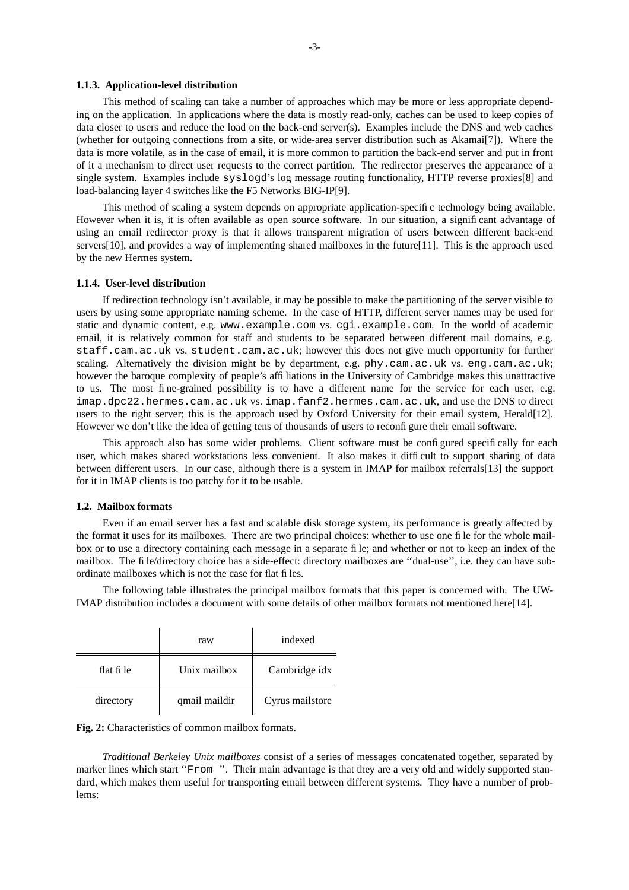#### **1.1.3. Application-level distribution**

This method of scaling can take a number of approaches which may be more or less appropriate depending on the application. In applications where the data is mostly read-only, caches can be used to keep copies of data closer to users and reduce the load on the back-end server(s). Examples include the DNS and web caches (whether for outgoing connections from a site, or wide-area server distribution such as Akamai[7]). Where the data is more volatile, as in the case of email, it is more common to partition the back-end server and put in front of it a mechanism to direct user requests to the correct partition. The redirector preserves the appearance of a single system. Examples include syslogd's log message routing functionality, HTTP reverse proxies[8] and load-balancing layer 4 switches like the F5 Networks BIG-IP[9].

This method of scaling a system depends on appropriate application-specific technology being available. However when it is, it is often available as open source software. In our situation, a significant advantage of using an email redirector proxy is that it allows transparent migration of users between different back-end servers[10], and provides a way of implementing shared mailboxes in the future[11]. This is the approach used by the new Hermes system.

## **1.1.4. User-level distribution**

If redirection technology isn't available, it may be possible to make the partitioning of the server visible to users by using some appropriate naming scheme. In the case of HTTP, different server names may be used for static and dynamic content, e.g. www.example.com vs. cgi.example.com. In the world of academic email, it is relatively common for staff and students to be separated between different mail domains, e.g. staff.cam.ac.uk vs. student.cam.ac.uk; however this does not give much opportunity for further scaling. Alternatively the division might be by department, e.g. phy.cam.ac.uk vs. eng.cam.ac.uk; however the baroque complexity of people's affiliations in the University of Cambridge makes this unattractive to us. The most fine-grained possibility is to have a different name for the service for each user, e.g. imap.dpc22.hermes.cam.ac.uk vs. imap.fanf2.hermes.cam.ac.uk, and use the DNS to direct users to the right server; this is the approach used by Oxford University for their email system, Herald[12]. However we don't like the idea of getting tens of thousands of users to reconfigure their email software.

This approach also has some wider problems. Client software must be configured specifically for each user, which makes shared workstations less convenient. It also makes it difficult to support sharing of data between different users. In our case, although there is a system in IMAP for mailbox referrals[13] the support for it in IMAP clients is too patchy for it to be usable.

#### **1.2. Mailbox formats**

Even if an email server has a fast and scalable disk storage system, its performance is greatly affected by the format it uses for its mailboxes. There are two principal choices: whether to use one file for the whole mailbox or to use a directory containing each message in a separate file; and whether or not to keep an index of the mailbox. The file/directory choice has a side-effect: directory mailboxes are ''dual-use'', i.e. they can have subordinate mailboxes which is not the case for flat files.

The following table illustrates the principal mailbox formats that this paper is concerned with. The UW-IMAP distribution includes a document with some details of other mailbox formats not mentioned here[14].

|           | raw           | indexed         |
|-----------|---------------|-----------------|
| flat file | Unix mailbox  | Cambridge idx   |
| directory | qmail maildir | Cyrus mailstore |

**Fig. 2:** Characteristics of common mailbox formats.

*Traditional Berkeley Unix mailboxes* consist of a series of messages concatenated together, separated by marker lines which start "From ". Their main advantage is that they are a very old and widely supported standard, which makes them useful for transporting email between different systems. They have a number of problems: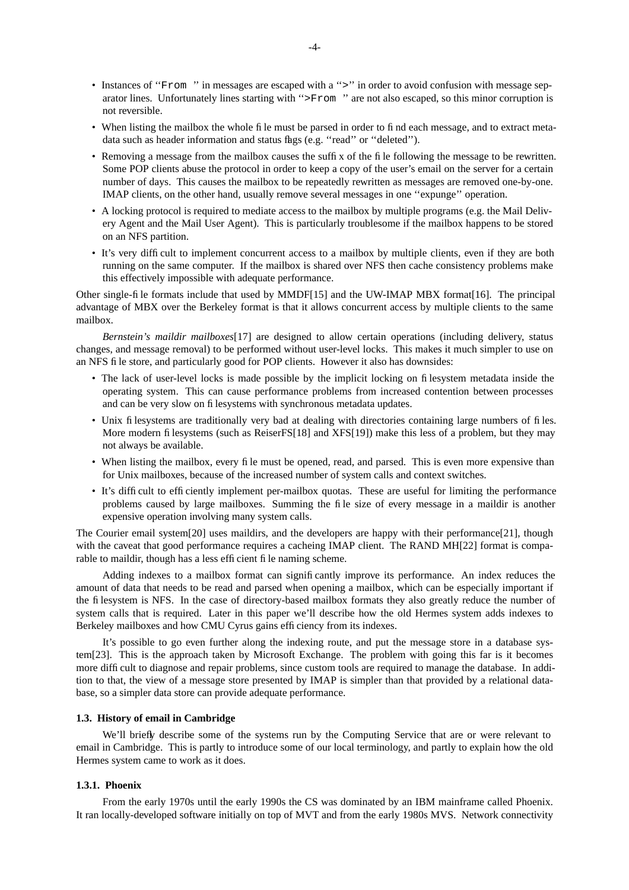- Instances of "From " in messages are escaped with a ">" in order to avoid confusion with message separator lines. Unfortunately lines starting with ''>From '' are not also escaped, so this minor corruption is not reversible.
- When listing the mailbox the whole file must be parsed in order to find each message, and to extract metadata such as header information and status flags (e.g. "read" or "deleted").
- Removing a message from the mailbox causes the suffix of the file following the message to be rewritten. Some POP clients abuse the protocol in order to keep a copy of the user's email on the server for a certain number of days. This causes the mailbox to be repeatedly rewritten as messages are removed one-by-one. IMAP clients, on the other hand, usually remove several messages in one "expunge" operation.
- A locking protocol is required to mediate access to the mailbox by multiple programs (e.g. the Mail Delivery Agent and the Mail User Agent). This is particularly troublesome if the mailbox happens to be stored on an NFS partition.
- It's very difficult to implement concurrent access to a mailbox by multiple clients, even if they are both running on the same computer. If the mailbox is shared over NFS then cache consistency problems make this effectively impossible with adequate performance.

Other single-file formats include that used by MMDF[15] and the UW-IMAP MBX format[16]. The principal advantage of MBX over the Berkeley format is that it allows concurrent access by multiple clients to the same mailbox.

*Bernstein's maildir mailboxes*[17] are designed to allow certain operations (including delivery, status changes, and message removal) to be performed without user-level locks. This makes it much simpler to use on an NFS file store, and particularly good for POP clients. However it also has downsides:

- The lack of user-level locks is made possible by the implicit locking on filesystem metadata inside the operating system. This can cause performance problems from increased contention between processes and can be very slow on filesystems with synchronous metadata updates.
- Unix filesystems are traditionally very bad at dealing with directories containing large numbers of files. More modern filesystems (such as ReiserFS[18] and XFS[19]) make this less of a problem, but they may not always be available.
- When listing the mailbox, every file must be opened, read, and parsed. This is even more expensive than for Unix mailboxes, because of the increased number of system calls and context switches.
- It's difficult to efficiently implement per-mailbox quotas. These are useful for limiting the performance problems caused by large mailboxes. Summing the file size of every message in a maildir is another expensive operation involving many system calls.

The Courier email system[20] uses maildirs, and the developers are happy with their performance[21], though with the caveat that good performance requires a cacheing IMAP client. The RAND MH[22] format is comparable to maildir, though has a less efficient file naming scheme.

Adding indexes to a mailbox format can significantly improve its performance. An index reduces the amount of data that needs to be read and parsed when opening a mailbox, which can be especially important if the filesystem is NFS. In the case of directory-based mailbox formats they also greatly reduce the number of system calls that is required. Later in this paper we'll describe how the old Hermes system adds indexes to Berkeley mailboxes and how CMU Cyrus gains efficiency from its indexes.

It's possible to go even further along the indexing route, and put the message store in a database system[23]. This is the approach taken by Microsoft Exchange. The problem with going this far is it becomes more difficult to diagnose and repair problems, since custom tools are required to manage the database. In addition to that, the view of a message store presented by IMAP is simpler than that provided by a relational database, so a simpler data store can provide adequate performance.

### **1.3. History of email in Cambridge**

We'll briefly describe some of the systems run by the Computing Service that are or were relevant to email in Cambridge. This is partly to introduce some of our local terminology, and partly to explain how the old Hermes system came to work as it does.

#### **1.3.1. Phoenix**

From the early 1970s until the early 1990s the CS was dominated by an IBM mainframe called Phoenix. It ran locally-developed software initially on top of MVT and from the early 1980s MVS. Network connectivity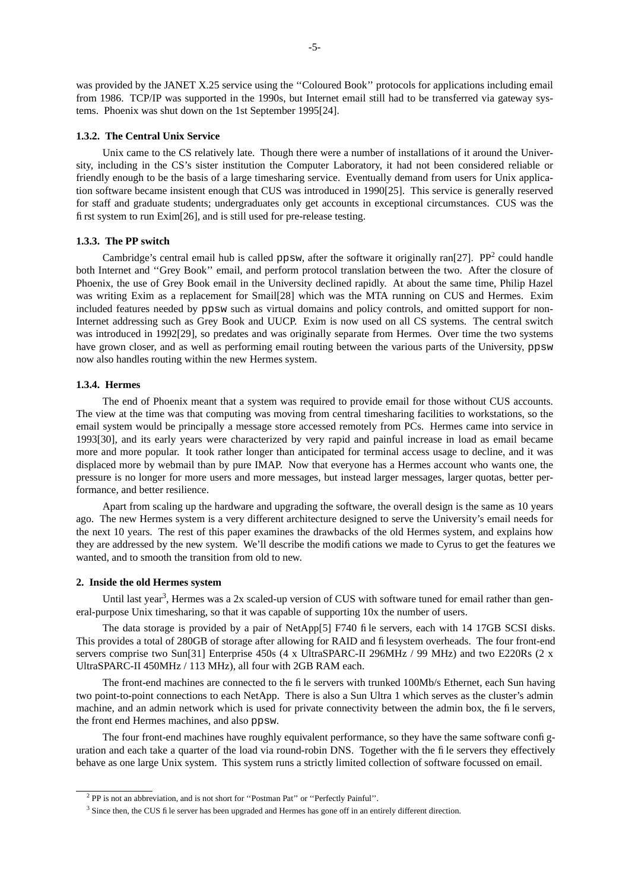was provided by the JANET X.25 service using the ''Coloured Book'' protocols for applications including email from 1986. TCP/IP was supported in the 1990s, but Internet email still had to be transferred via gateway systems. Phoenix was shut down on the 1st September 1995[24].

#### **1.3.2. The Central Unix Service**

Unix came to the CS relatively late. Though there were a number of installations of it around the University, including in the CS's sister institution the Computer Laboratory, it had not been considered reliable or friendly enough to be the basis of a large timesharing service. Eventually demand from users for Unix application software became insistent enough that CUS was introduced in 1990[25]. This service is generally reserved for staff and graduate students; undergraduates only get accounts in exceptional circumstances. CUS was the first system to run Exim[26], and is still used for pre-release testing.

## **1.3.3. The PP switch**

Cambridge's central email hub is called ppsw, after the software it originally ran $[27]$ . PP<sup>2</sup> could handle both Internet and ''Grey Book'' email, and perform protocol translation between the two. After the closure of Phoenix, the use of Grey Book email in the University declined rapidly. At about the same time, Philip Hazel was writing Exim as a replacement for Smail[28] which was the MTA running on CUS and Hermes. Exim included features needed by ppsw such as virtual domains and policy controls, and omitted support for non-Internet addressing such as Grey Book and UUCP. Exim is now used on all CS systems. The central switch was introduced in 1992[29], so predates and was originally separate from Hermes. Over time the two systems have grown closer, and as well as performing email routing between the various parts of the University, ppsw now also handles routing within the new Hermes system.

### **1.3.4. Hermes**

The end of Phoenix meant that a system was required to provide email for those without CUS accounts. The view at the time was that computing was moving from central timesharing facilities to workstations, so the email system would be principally a message store accessed remotely from PCs. Hermes came into service in 1993[30], and its early years were characterized by very rapid and painful increase in load as email became more and more popular. It took rather longer than anticipated for terminal access usage to decline, and it was displaced more by webmail than by pure IMAP. Now that everyone has a Hermes account who wants one, the pressure is no longer for more users and more messages, but instead larger messages, larger quotas, better performance, and better resilience.

Apart from scaling up the hardware and upgrading the software, the overall design is the same as 10 years ago. The new Hermes system is a very different architecture designed to serve the University's email needs for the next 10 years. The rest of this paper examines the drawbacks of the old Hermes system, and explains how they are addressed by the new system. We'll describe the modifications we made to Cyrus to get the features we wanted, and to smooth the transition from old to new.

### **2. Inside the old Hermes system**

Until last year<sup>3</sup>, Hermes was a 2x scaled-up version of CUS with software tuned for email rather than general-purpose Unix timesharing, so that it was capable of supporting 10x the number of users.

The data storage is provided by a pair of NetApp[5] F740 file servers, each with 14 17GB SCSI disks. This provides a total of 280GB of storage after allowing for RAID and filesystem overheads. The four front-end servers comprise two Sun[31] Enterprise 450s (4 x UltraSPARC-II 296MHz / 99 MHz) and two E220Rs (2 x UltraSPARC-II 450MHz / 113 MHz), all four with 2GB RAM each.

The front-end machines are connected to the file servers with trunked 100Mb/s Ethernet, each Sun having two point-to-point connections to each NetApp. There is also a Sun Ultra 1 which serves as the cluster's admin machine, and an admin network which is used for private connectivity between the admin box, the file servers, the front end Hermes machines, and also ppsw.

The four front-end machines have roughly equivalent performance, so they have the same software configuration and each take a quarter of the load via round-robin DNS. Together with the file servers they effectively behave as one large Unix system. This system runs a strictly limited collection of software focussed on email.

<sup>2</sup> PP is not an abbreviation, and is not short for ''Postman Pat'' or ''Perfectly Painful''.

<sup>&</sup>lt;sup>3</sup> Since then, the CUS file server has been upgraded and Hermes has gone off in an entirely different direction.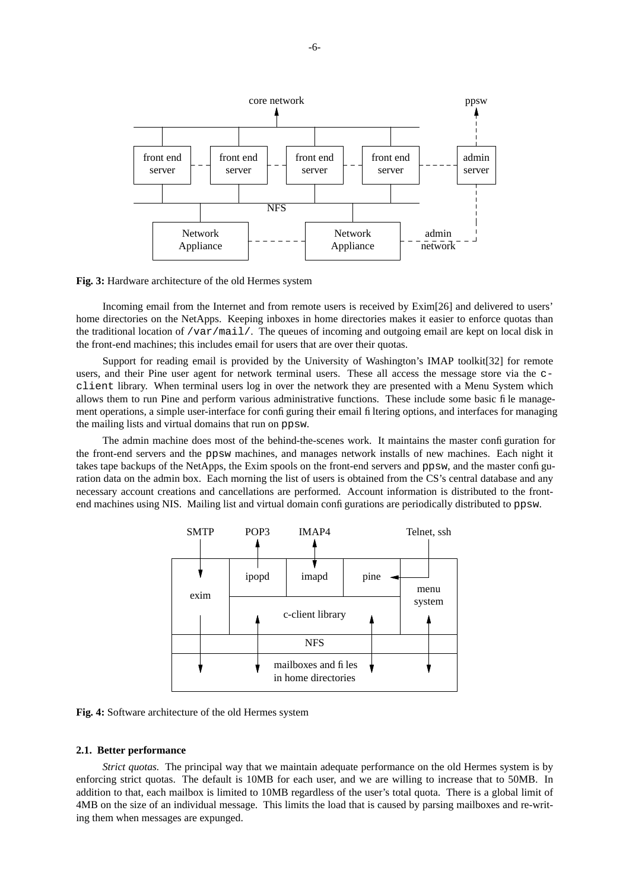

**Fig. 3:** Hardware architecture of the old Hermes system

Incoming email from the Internet and from remote users is received by Exim[26] and delivered to users' home directories on the NetApps. Keeping inboxes in home directories makes it easier to enforce quotas than the traditional location of  $\sqrt{var / \text{maj}/l}$ . The queues of incoming and outgoing email are kept on local disk in the front-end machines; this includes email for users that are over their quotas.

Support for reading email is provided by the University of Washington's IMAP toolkit[32] for remote users, and their Pine user agent for network terminal users. These all access the message store via the cclient library. When terminal users log in over the network they are presented with a Menu System which allows them to run Pine and perform various administrative functions. These include some basic file management operations, a simple user-interface for configuring their email filtering options, and interfaces for managing the mailing lists and virtual domains that run on ppsw.

The admin machine does most of the behind-the-scenes work. It maintains the master configuration for the front-end servers and the ppsw machines, and manages network installs of new machines. Each night it takes tape backups of the NetApps, the Exim spools on the front-end servers and ppsw, and the master configuration data on the admin box. Each morning the list of users is obtained from the CS's central database and any necessary account creations and cancellations are performed. Account information is distributed to the frontend machines using NIS. Mailing list and virtual domain configurations are periodically distributed to ppsw.



**Fig. 4:** Software architecture of the old Hermes system

#### **2.1. Better performance**

*Strict quotas.* The principal way that we maintain adequate performance on the old Hermes system is by enforcing strict quotas. The default is 10MB for each user, and we are willing to increase that to 50MB. In addition to that, each mailbox is limited to 10MB regardless of the user's total quota. There is a global limit of 4MB on the size of an individual message. This limits the load that is caused by parsing mailboxes and re-writing them when messages are expunged.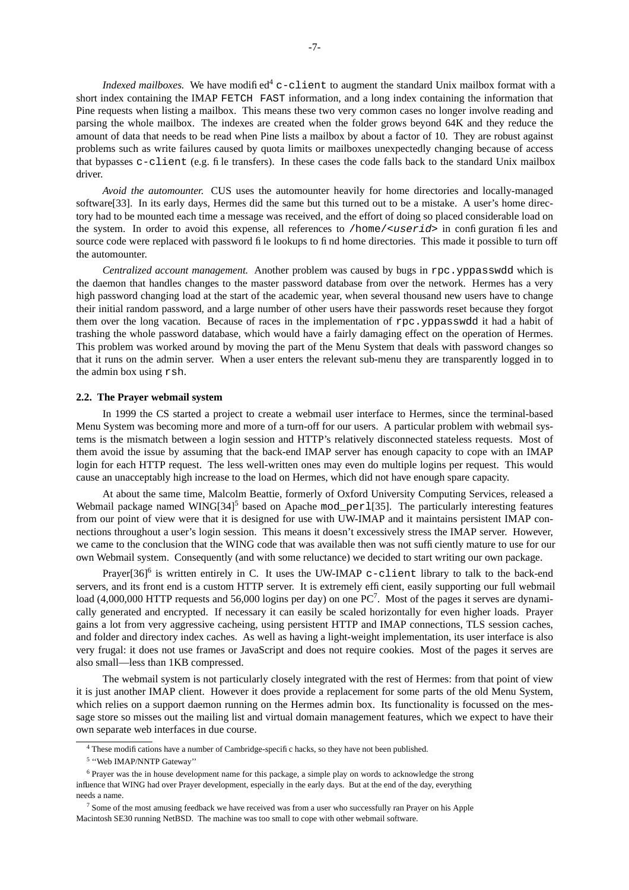*Indexed mailboxes.* We have modified<sup>4</sup> c-client to augment the standard Unix mailbox format with a short index containing the IMAP FETCH FAST information, and a long index containing the information that Pine requests when listing a mailbox. This means these two very common cases no longer involve reading and parsing the whole mailbox. The indexes are created when the folder grows beyond 64K and they reduce the amount of data that needs to be read when Pine lists a mailbox by about a factor of 10. They are robust against problems such as write failures caused by quota limits or mailboxes unexpectedly changing because of access that bypasses c-client (e.g. file transfers). In these cases the code falls back to the standard Unix mailbox driver.

*Avoid the automounter.* CUS uses the automounter heavily for home directories and locally-managed software[33]. In its early days, Hermes did the same but this turned out to be a mistake. A user's home directory had to be mounted each time a message was received, and the effort of doing so placed considerable load on the system. In order to avoid this expense, all references to /home/ $\langle$ userid> in configuration files and source code were replaced with password file lookups to find home directories. This made it possible to turn off the automounter.

*Centralized account management.* Another problem was caused by bugs in rpc.yppasswdd which is the daemon that handles changes to the master password database from over the network. Hermes has a very high password changing load at the start of the academic year, when several thousand new users have to change their initial random password, and a large number of other users have their passwords reset because they forgot them over the long vacation. Because of races in the implementation of rpc.yppasswdd it had a habit of trashing the whole password database, which would have a fairly damaging effect on the operation of Hermes. This problem was worked around by moving the part of the Menu System that deals with password changes so that it runs on the admin server. When a user enters the relevant sub-menu they are transparently logged in to the admin box using rsh.

### **2.2. The Prayer webmail system**

In 1999 the CS started a project to create a webmail user interface to Hermes, since the terminal-based Menu System was becoming more and more of a turn-off for our users. A particular problem with webmail systems is the mismatch between a login session and HTTP's relatively disconnected stateless requests. Most of them avoid the issue by assuming that the back-end IMAP server has enough capacity to cope with an IMAP login for each HTTP request. The less well-written ones may even do multiple logins per request. This would cause an unacceptably high increase to the load on Hermes, which did not have enough spare capacity.

At about the same time, Malcolm Beattie, formerly of Oxford University Computing Services, released a Webmail package named WING[34]<sup>5</sup> based on Apache mod\_per1[35]. The particularly interesting features from our point of view were that it is designed for use with UW-IMAP and it maintains persistent IMAP connections throughout a user's login session. This means it doesn't excessively stress the IMAP server. However, we came to the conclusion that the WING code that was available then was not sufficiently mature to use for our own Webmail system. Consequently (and with some reluctance) we decided to start writing our own package.

Prayer[36]<sup>6</sup> is written entirely in C. It uses the UW-IMAP c-client library to talk to the back-end servers, and its front end is a custom HTTP server. It is extremely efficient, easily supporting our full webmail load (4,000,000 HTTP requests and 56,000 logins per day) on one  $PC^7$ . Most of the pages it serves are dynamically generated and encrypted. If necessary it can easily be scaled horizontally for even higher loads. Prayer gains a lot from very aggressive cacheing, using persistent HTTP and IMAP connections, TLS session caches, and folder and directory index caches. As well as having a light-weight implementation, its user interface is also very frugal: it does not use frames or JavaScript and does not require cookies. Most of the pages it serves are also small—less than 1KB compressed.

The webmail system is not particularly closely integrated with the rest of Hermes: from that point of view it is just another IMAP client. However it does provide a replacement for some parts of the old Menu System, which relies on a support daemon running on the Hermes admin box. Its functionality is focussed on the message store so misses out the mailing list and virtual domain management features, which we expect to have their own separate web interfaces in due course.

<sup>&</sup>lt;sup>4</sup> These modifications have a number of Cambridge-specific hacks, so they have not been published.

<sup>&</sup>lt;sup>5</sup> "Web IMAP/NNTP Gateway"

<sup>6</sup> Prayer was the in house development name for this package, a simple play on words to acknowledge the strong influence that WING had over Prayer development, especially in the early days. But at the end of the day, everything needs a name.

<sup>&</sup>lt;sup>7</sup> Some of the most amusing feedback we have received was from a user who successfully ran Prayer on his Apple Macintosh SE30 running NetBSD. The machine was too small to cope with other webmail software.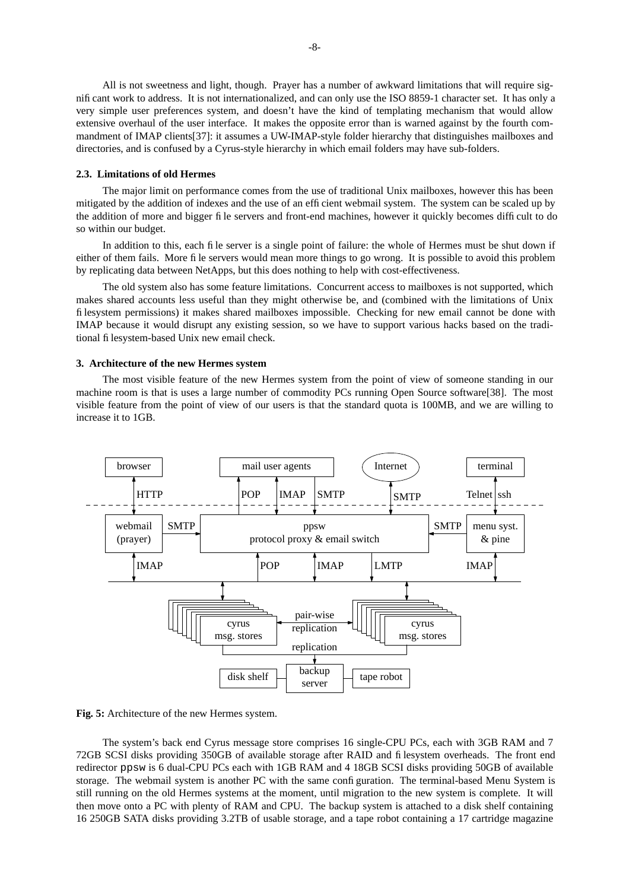All is not sweetness and light, though. Prayer has a number of awkward limitations that will require significant work to address. It is not internationalized, and can only use the ISO 8859-1 character set. It has only a very simple user preferences system, and doesn't have the kind of templating mechanism that would allow extensive overhaul of the user interface. It makes the opposite error than is warned against by the fourth commandment of IMAP clients[37]: it assumes a UW-IMAP-style folder hierarchy that distinguishes mailboxes and directories, and is confused by a Cyrus-style hierarchy in which email folders may have sub-folders.

#### **2.3. Limitations of old Hermes**

The major limit on performance comes from the use of traditional Unix mailboxes, however this has been mitigated by the addition of indexes and the use of an efficient webmail system. The system can be scaled up by the addition of more and bigger file servers and front-end machines, however it quickly becomes difficult to do so within our budget.

In addition to this, each file server is a single point of failure: the whole of Hermes must be shut down if either of them fails. More file servers would mean more things to go wrong. It is possible to avoid this problem by replicating data between NetApps, but this does nothing to help with cost-effectiveness.

The old system also has some feature limitations. Concurrent access to mailboxes is not supported, which makes shared accounts less useful than they might otherwise be, and (combined with the limitations of Unix filesystem permissions) it makes shared mailboxes impossible. Checking for new email cannot be done with IMAP because it would disrupt any existing session, so we have to support various hacks based on the traditional filesystem-based Unix new email check.

### **3. Architecture of the new Hermes system**

The most visible feature of the new Hermes system from the point of view of someone standing in our machine room is that is uses a large number of commodity PCs running Open Source software[38]. The most visible feature from the point of view of our users is that the standard quota is 100MB, and we are willing to increase it to 1GB.



**Fig. 5:** Architecture of the new Hermes system.

The system's back end Cyrus message store comprises 16 single-CPU PCs, each with 3GB RAM and 7 72GB SCSI disks providing 350GB of available storage after RAID and filesystem overheads. The front end redirector ppsw is 6 dual-CPU PCs each with 1GB RAM and 4 18GB SCSI disks providing 50GB of available storage. The webmail system is another PC with the same configuration. The terminal-based Menu System is still running on the old Hermes systems at the moment, until migration to the new system is complete. It will then move onto a PC with plenty of RAM and CPU. The backup system is attached to a disk shelf containing 16 250GB SATA disks providing 3.2TB of usable storage, and a tape robot containing a 17 cartridge magazine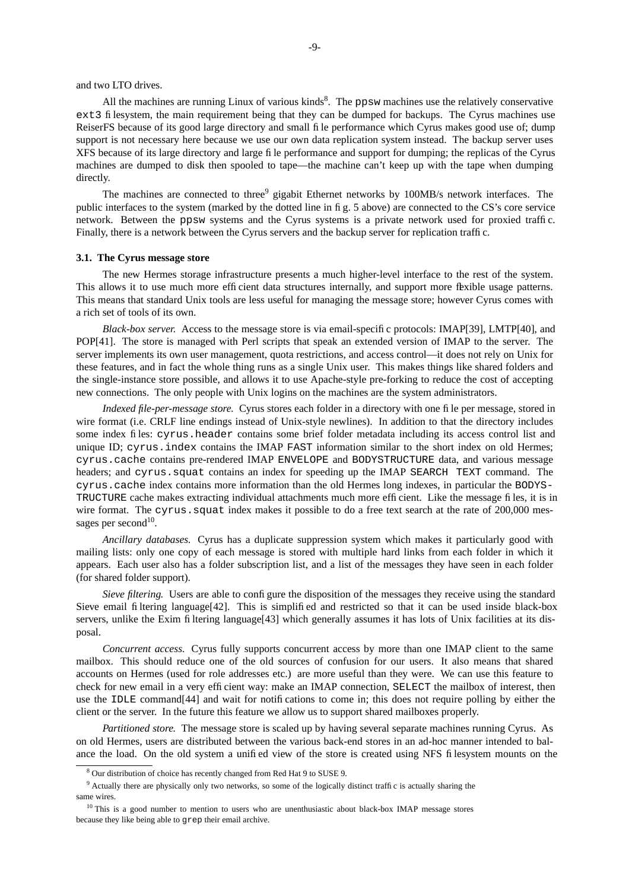and two LTO drives.

All the machines are running Linux of various kinds<sup>8</sup>. The ppsw machines use the relatively conservative ext3 filesystem, the main requirement being that they can be dumped for backups. The Cyrus machines use ReiserFS because of its good large directory and small file performance which Cyrus makes good use of; dump support is not necessary here because we use our own data replication system instead. The backup server uses XFS because of its large directory and large file performance and support for dumping; the replicas of the Cyrus machines are dumped to disk then spooled to tape—the machine can't keep up with the tape when dumping directly.

The machines are connected to three<sup>9</sup> gigabit Ethernet networks by 100MB/s network interfaces. The public interfaces to the system (marked by the dotted line in fig. 5 above) are connected to the CS's core service network. Between the ppsw systems and the Cyrus systems is a private network used for proxied traffic. Finally, there is a network between the Cyrus servers and the backup server for replication traffic.

### **3.1. The Cyrus message store**

The new Hermes storage infrastructure presents a much higher-level interface to the rest of the system. This allows it to use much more efficient data structures internally, and support more flexible usage patterns. This means that standard Unix tools are less useful for managing the message store; however Cyrus comes with a rich set of tools of its own.

*Black-box server.* Access to the message store is via email-specific protocols: IMAP[39], LMTP[40], and POP[41]. The store is managed with Perl scripts that speak an extended version of IMAP to the server. The server implements its own user management, quota restrictions, and access control—it does not rely on Unix for these features, and in fact the whole thing runs as a single Unix user. This makes things like shared folders and the single-instance store possible, and allows it to use Apache-style pre-forking to reduce the cost of accepting new connections. The only people with Unix logins on the machines are the system administrators.

*Indexed file-per-message store.* Cyrus stores each folder in a directory with one file per message, stored in wire format (i.e. CRLF line endings instead of Unix-style newlines). In addition to that the directory includes some index files: cyrus.header contains some brief folder metadata including its access control list and unique ID; cyrus. index contains the IMAP FAST information similar to the short index on old Hermes; cyrus.cache contains pre-rendered IMAP ENVELOPE and BODYSTRUCTURE data, and various message headers; and cyrus. squat contains an index for speeding up the IMAP SEARCH TEXT command. The cyrus.cache index contains more information than the old Hermes long indexes, in particular the BODYS-TRUCTURE cache makes extracting individual attachments much more efficient. Like the message files, it is in wire format. The cyrus. squat index makes it possible to do a free text search at the rate of 200,000 messages per second<sup>10</sup>.

*Ancillary databases.* Cyrus has a duplicate suppression system which makes it particularly good with mailing lists: only one copy of each message is stored with multiple hard links from each folder in which it appears. Each user also has a folder subscription list, and a list of the messages they have seen in each folder (for shared folder support).

*Sieve filtering.* Users are able to configure the disposition of the messages they receive using the standard Sieve email filtering language[42]. This is simplified and restricted so that it can be used inside black-box servers, unlike the Exim filtering language[43] which generally assumes it has lots of Unix facilities at its disposal.

*Concurrent access.* Cyrus fully supports concurrent access by more than one IMAP client to the same mailbox. This should reduce one of the old sources of confusion for our users. It also means that shared accounts on Hermes (used for role addresses etc.) are more useful than they were. We can use this feature to check for new email in a very efficient way: make an IMAP connection, SELECT the mailbox of interest, then use the IDLE command[44] and wait for notifications to come in; this does not require polling by either the client or the server. In the future this feature we allow us to support shared mailboxes properly.

*Partitioned store.* The message store is scaled up by having several separate machines running Cyrus. As on old Hermes, users are distributed between the various back-end stores in an ad-hoc manner intended to balance the load. On the old system a unified view of the store is created using NFS filesystem mounts on the

<sup>8</sup> Our distribution of choice has recently changed from Red Hat 9 to SUSE 9.

<sup>&</sup>lt;sup>9</sup> Actually there are physically only two networks, so some of the logically distinct traffic is actually sharing the same wires.

<sup>&</sup>lt;sup>10</sup> This is a good number to mention to users who are unenthusiastic about black-box IMAP message stores because they like being able to grep their email archive.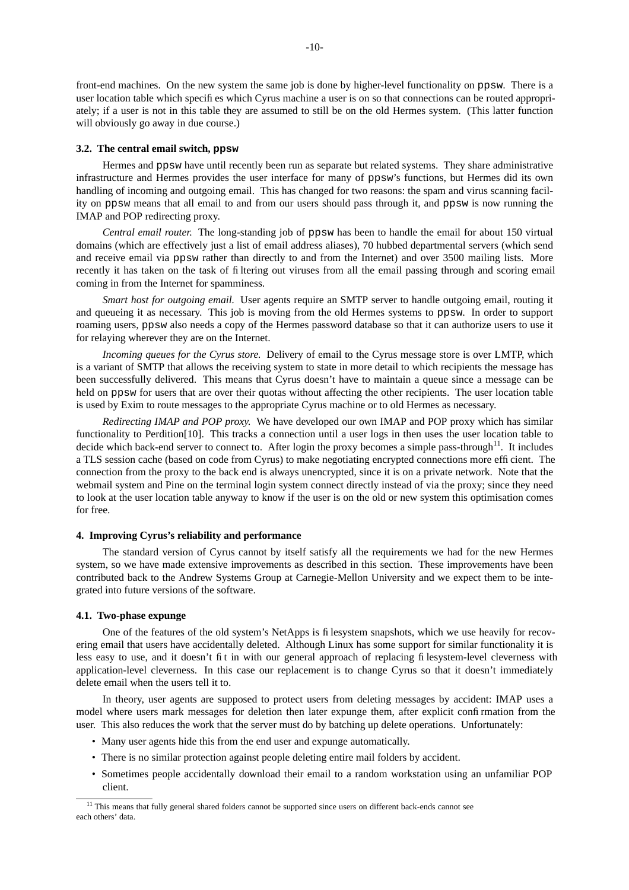front-end machines. On the new system the same job is done by higher-level functionality on ppsw. There is a user location table which specifies which Cyrus machine a user is on so that connections can be routed appropriately; if a user is not in this table they are assumed to still be on the old Hermes system. (This latter function will obviously go away in due course.)

### **3.2. The central email switch, ppsw**

Hermes and ppsw have until recently been run as separate but related systems. They share administrative infrastructure and Hermes provides the user interface for many of ppsw's functions, but Hermes did its own handling of incoming and outgoing email. This has changed for two reasons: the spam and virus scanning facility on ppsw means that all email to and from our users should pass through it, and ppsw is now running the IMAP and POP redirecting proxy.

*Central email router.* The long-standing job of ppsw has been to handle the email for about 150 virtual domains (which are effectively just a list of email address aliases), 70 hubbed departmental servers (which send and receive email via ppsw rather than directly to and from the Internet) and over 3500 mailing lists. More recently it has taken on the task of filtering out viruses from all the email passing through and scoring email coming in from the Internet for spamminess.

*Smart host for outgoing email.* User agents require an SMTP server to handle outgoing email, routing it and queueing it as necessary. This job is moving from the old Hermes systems to ppsw. In order to support roaming users, ppsw also needs a copy of the Hermes password database so that it can authorize users to use it for relaying wherever they are on the Internet.

*Incoming queues for the Cyrus store.* Delivery of email to the Cyrus message store is over LMTP, which is a variant of SMTP that allows the receiving system to state in more detail to which recipients the message has been successfully delivered. This means that Cyrus doesn't have to maintain a queue since a message can be held on ppsw for users that are over their quotas without affecting the other recipients. The user location table is used by Exim to route messages to the appropriate Cyrus machine or to old Hermes as necessary.

*Redirecting IMAP and POP proxy.* We have developed our own IMAP and POP proxy which has similar functionality to Perdition[10]. This tracks a connection until a user logs in then uses the user location table to decide which back-end server to connect to. After login the proxy becomes a simple pass-through<sup>11</sup>. It includes a TLS session cache (based on code from Cyrus) to make negotiating encrypted connections more efficient. The connection from the proxy to the back end is always unencrypted, since it is on a private network. Note that the webmail system and Pine on the terminal login system connect directly instead of via the proxy; since they need to look at the user location table anyway to know if the user is on the old or new system this optimisation comes for free.

## **4. Improving Cyrus's reliability and performance**

The standard version of Cyrus cannot by itself satisfy all the requirements we had for the new Hermes system, so we have made extensive improvements as described in this section. These improvements have been contributed back to the Andrew Systems Group at Carnegie-Mellon University and we expect them to be integrated into future versions of the software.

#### **4.1. Two-phase expunge**

One of the features of the old system's NetApps is filesystem snapshots, which we use heavily for recovering email that users have accidentally deleted. Although Linux has some support for similar functionality it is less easy to use, and it doesn't fit in with our general approach of replacing filesystem-level cleverness with application-level cleverness. In this case our replacement is to change Cyrus so that it doesn't immediately delete email when the users tell it to.

In theory, user agents are supposed to protect users from deleting messages by accident: IMAP uses a model where users mark messages for deletion then later expunge them, after explicit confirmation from the user. This also reduces the work that the server must do by batching up delete operations. Unfortunately:

- Many user agents hide this from the end user and expunge automatically.
- There is no similar protection against people deleting entire mail folders by accident.
- Sometimes people accidentally download their email to a random workstation using an unfamiliar POP client.

<sup>&</sup>lt;sup>11</sup> This means that fully general shared folders cannot be supported since users on different back-ends cannot see each others' data.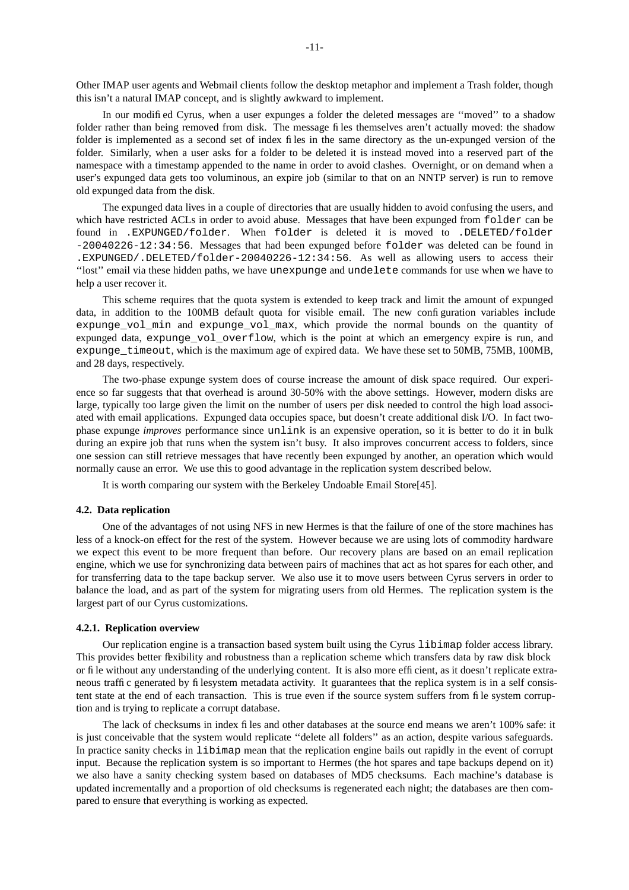Other IMAP user agents and Webmail clients follow the desktop metaphor and implement a Trash folder, though this isn't a natural IMAP concept, and is slightly awkward to implement.

In our modified Cyrus, when a user expunges a folder the deleted messages are "moved" to a shadow folder rather than being removed from disk. The message files themselves aren't actually moved: the shadow folder is implemented as a second set of index files in the same directory as the un-expunged version of the folder. Similarly, when a user asks for a folder to be deleted it is instead moved into a reserved part of the namespace with a timestamp appended to the name in order to avoid clashes. Overnight, or on demand when a user's expunged data gets too voluminous, an expire job (similar to that on an NNTP server) is run to remove old expunged data from the disk.

The expunged data lives in a couple of directories that are usually hidden to avoid confusing the users, and which have restricted ACLs in order to avoid abuse. Messages that have been expunged from folder can be found in .EXPUNGED/folder. When folder is deleted it is moved to .DELETED/folder -20040226-12:34:56. Messages that had been expunged before folder was deleted can be found in .EXPUNGED/.DELETED/folder-20040226-12:34:56. As well as allowing users to access their ''lost'' email via these hidden paths, we have unexpunge and undelete commands for use when we have to help a user recover it.

This scheme requires that the quota system is extended to keep track and limit the amount of expunged data, in addition to the 100MB default quota for visible email. The new configuration variables include expunge\_vol\_min and expunge\_vol\_max, which provide the normal bounds on the quantity of expunged data, expunge\_vol\_overflow, which is the point at which an emergency expire is run, and expunge\_timeout, which is the maximum age of expired data. We have these set to 50MB, 75MB, 100MB, and 28 days, respectively.

The two-phase expunge system does of course increase the amount of disk space required. Our experience so far suggests that that overhead is around 30-50% with the above settings. However, modern disks are large, typically too large given the limit on the number of users per disk needed to control the high load associated with email applications. Expunged data occupies space, but doesn't create additional disk I/O. In fact twophase expunge *improves* performance since unlink is an expensive operation, so it is better to do it in bulk during an expire job that runs when the system isn't busy. It also improves concurrent access to folders, since one session can still retrieve messages that have recently been expunged by another, an operation which would normally cause an error. We use this to good advantage in the replication system described below.

It is worth comparing our system with the Berkeley Undoable Email Store[45].

### **4.2. Data replication**

One of the advantages of not using NFS in new Hermes is that the failure of one of the store machines has less of a knock-on effect for the rest of the system. However because we are using lots of commodity hardware we expect this event to be more frequent than before. Our recovery plans are based on an email replication engine, which we use for synchronizing data between pairs of machines that act as hot spares for each other, and for transferring data to the tape backup server. We also use it to move users between Cyrus servers in order to balance the load, and as part of the system for migrating users from old Hermes. The replication system is the largest part of our Cyrus customizations.

#### **4.2.1. Replication overview**

Our replication engine is a transaction based system built using the Cyrus libimap folder access library. This provides better flexibility and robustness than a replication scheme which transfers data by raw disk block or file without any understanding of the underlying content. It is also more efficient, as it doesn't replicate extraneous traffic generated by filesystem metadata activity. It guarantees that the replica system is in a self consistent state at the end of each transaction. This is true even if the source system suffers from file system corruption and is trying to replicate a corrupt database.

The lack of checksums in index files and other databases at the source end means we aren't 100% safe: it is just conceivable that the system would replicate ''delete all folders'' as an action, despite various safeguards. In practice sanity checks in libimap mean that the replication engine bails out rapidly in the event of corrupt input. Because the replication system is so important to Hermes (the hot spares and tape backups depend on it) we also have a sanity checking system based on databases of MD5 checksums. Each machine's database is updated incrementally and a proportion of old checksums is regenerated each night; the databases are then compared to ensure that everything is working as expected.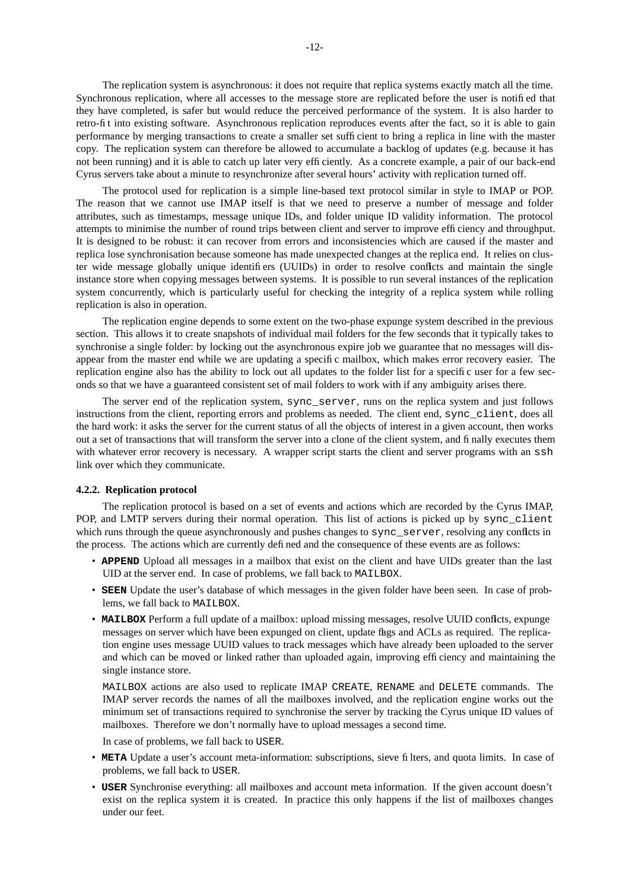The replication system is asynchronous: it does not require that replica systems exactly match all the time. Synchronous replication, where all accesses to the message store are replicated before the user is notified that they have completed, is safer but would reduce the perceived performance of the system. It is also harder to retro-fit into existing software. Asynchronous replication reproduces events after the fact, so it is able to gain performance by merging transactions to create a smaller set sufficient to bring a replica in line with the master copy. The replication system can therefore be allowed to accumulate a backlog of updates (e.g. because it has not been running) and it is able to catch up later very efficiently. Asaconcrete example, a pair of our back-end Cyrus servers take about a minute to resynchronize after several hours' activity with replication turned off.

The protocol used for replication is a simple line-based text protocol similar in style to IMAP or POP. The reason that we cannot use IMAP itself is that we need to preserve a number of message and folder attributes, such as timestamps, message unique IDs, and folder unique ID validity information. The protocol attempts to minimise the number of round trips between client and server to improve efficiency and throughput. It is designed to be robust: it can recover from errors and inconsistencies which are caused if the master and replica lose synchronisation because someone has made unexpected changes at the replica end. It relies on cluster wide message globally unique identifiers (UUIDs) in order to resolve conflicts and maintain the single instance store when copying messages between systems. It is possible to run several instances of the replication system concurrently, which is particularly useful for checking the integrity of a replica system while rolling replication is also in operation.

The replication engine depends to some extent on the two-phase expunge system described in the previous section. This allows it to create snapshots of individual mail folders for the few seconds that it typically takes to synchronise a single folder: by locking out the asynchronous expire job we guarantee that no messages will disappear from the master end while we are updating a specific mailbox, which makes error recovery easier. The replication engine also has the ability to lock out all updates to the folder list for a specific user for a few seconds so that we have a guaranteed consistent set of mail folders to work with if any ambiguity arises there.

The server end of the replication system, sync\_server, runs on the replica system and just follows instructions from the client, reporting errors and problems as needed. The client end, sync\_client, does all the hard work: it asks the server for the current status of all the objects of interest in a given account, then works out a set of transactions that will transform the server into a clone of the client system, and finally executes them with whatever error recovery is necessary. A wrapper script starts the client and server programs with an ssh link over which they communicate.

# **4.2.2. Replication protocol**

The replication protocol is based on a set of events and actions which are recorded by the Cyrus IMAP, POP, and LMTP servers during their normal operation. This list of actions is picked up by sync\_client which runs through the queue asynchronously and pushes changes to sync\_server, resolving any conflicts in the process. The actions which are currently defined and the consequence of these events are as follows:

- **APPEND** Upload all messages in a mailbox that exist on the client and have UIDs greater than the last UID at the server end. In case of problems, we fall back to MAILBOX.
- **SEEN** Update the user's database of which messages in the given folder have been seen. In case of problems, we fall back to MAILBOX.
- **MAILBOX** Perform a full update of a mailbox: upload missing messages, resolve UUID conflicts, expunge messages on server which have been expunged on client, update flags and ACLs as required. The replication engine uses message UUID values to track messages which have already been uploaded to the server and which can be moved or linked rather than uploaded again, improving efficiency and maintaining the single instance store.

MAILBOX actions are also used to replicate IMAP CREATE, RENAME and DELETE commands. The IMAP server records the names of all the mailboxes involved, and the replication engine works out the minimum set of transactions required to synchronise the server by tracking the Cyrus unique ID values of mailboxes. Therefore we don't normally have to upload messages a second time.

In case of problems, we fall back to USER.

- **META** Update a user's account meta-information: subscriptions, sieve filters, and quota limits. In case of problems, we fall back to USER.
- **USER** Synchronise everything: all mailboxes and account meta information. If the given account doesn't exist on the replica system it is created. In practice this only happens if the list of mailboxes changes under our feet.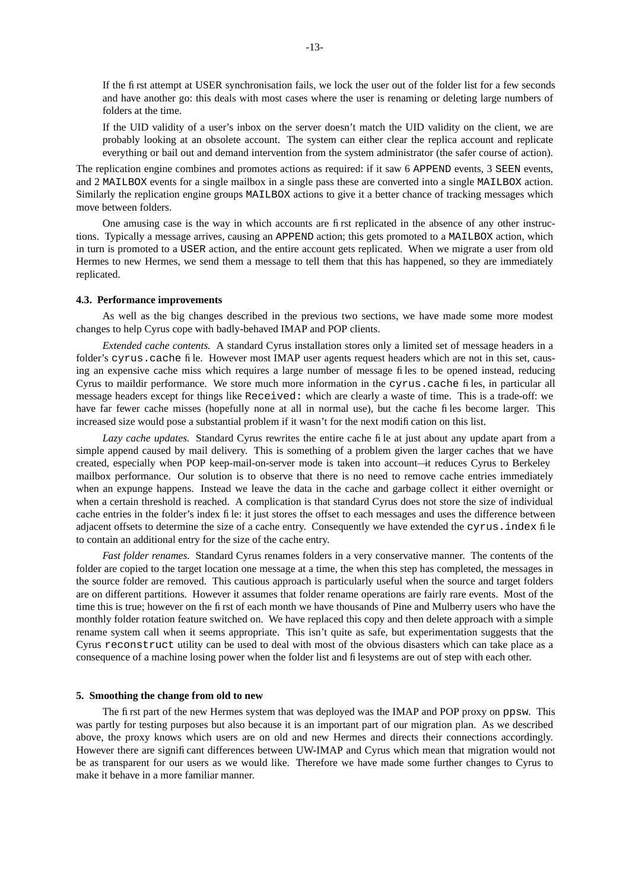If the first attempt at USER synchronisation fails, we lock the user out of the folder list for a few seconds and have another go: this deals with most cases where the user is renaming or deleting large numbers of folders at the time.

If the UID validity of a user's inbox on the server doesn't match the UID validity on the client, we are probably looking at an obsolete account. The system can either clear the replica account and replicate everything or bail out and demand intervention from the system administrator (the safer course of action).

The replication engine combines and promotes actions as required: if it saw 6 APPEND events, 3 SEEN events, and 2 MAILBOX events for a single mailbox in a single pass these are converted into a single MAILBOX action. Similarly the replication engine groups MAILBOX actions to give it a better chance of tracking messages which move between folders.

One amusing case is the way in which accounts are first replicated in the absence of any other instructions. Typically a message arrives, causing an APPEND action; this gets promoted to a MAILBOX action, which in turn is promoted to a USER action, and the entire account gets replicated. When we migrate a user from old Hermes to new Hermes, we send them a message to tell them that this has happened, so they are immediately replicated.

#### **4.3. Performance improvements**

As well as the big changes described in the previous two sections, we have made some more modest changes to help Cyrus cope with badly-behaved IMAP and POP clients.

*Extended cache contents.* A standard Cyrus installation stores only a limited set of message headers in a folder's cyrus.cache file. However most IMAP user agents request headers which are not in this set, causing an expensive cache miss which requires a large number of message files to be opened instead, reducing Cyrus to maildir performance. We store much more information in the cyrus.cache files, in particular all message headers except for things like Received: which are clearly a waste of time. This is a trade-off: we have far fewer cache misses (hopefully none at all in normal use), but the cache files become larger. This increased size would pose a substantial problem if it wasn't for the next modification on this list.

*Lazy cache updates.* Standard Cyrus rewrites the entire cache file at just about any update apart from a simple append caused by mail delivery. This is something of a problem given the larger caches that we have created, especially when POP keep-mail-on-server mode is taken into account—it reduces Cyrus to Berkeley mailbox performance. Our solution is to observe that there is no need to remove cache entries immediately when an expunge happens. Instead we leave the data in the cache and garbage collect it either overnight or when a certain threshold is reached. A complication is that standard Cyrus does not store the size of individual cache entries in the folder's index file: it just stores the offset to each messages and uses the difference between adjacent offsets to determine the size of a cache entry. Consequently we have extended the cyrus.index file to contain an additional entry for the size of the cache entry.

*Fast folder renames.* Standard Cyrus renames folders in a very conservative manner. The contents of the folder are copied to the target location one message at a time, the when this step has completed, the messages in the source folder are removed. This cautious approach is particularly useful when the source and target folders are on different partitions. However it assumes that folder rename operations are fairly rare events. Most of the time this is true; however on the first of each month we have thousands of Pine and Mulberry users who have the monthly folder rotation feature switched on. We have replaced this copy and then delete approach with a simple rename system call when it seems appropriate. This isn't quite as safe, but experimentation suggests that the Cyrus reconstruct utility can be used to deal with most of the obvious disasters which can take place as a consequence of a machine losing power when the folder list and filesystems are out of step with each other.

#### **5. Smoothing the change from old to new**

The first part of the new Hermes system that was deployed was the IMAP and POP proxy on ppsw. This was partly for testing purposes but also because it is an important part of our migration plan. As we described above, the proxy knows which users are on old and new Hermes and directs their connections accordingly. However there are significant differences between UW-IMAP and Cyrus which mean that migration would not be as transparent for our users as we would like. Therefore we have made some further changes to Cyrus to make it behave in a more familiar manner.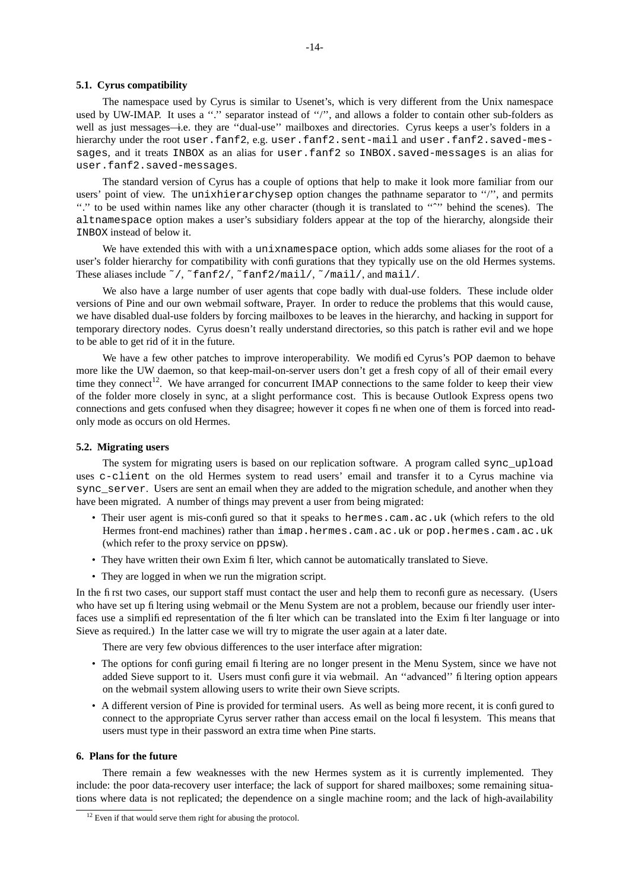#### **5.1. Cyrus compatibility**

The namespace used by Cyrus is similar to Usenet's, which is very different from the Unix namespace used by UW-IMAP. It uses a "." separator instead of "/", and allows a folder to contain other sub-folders as well as just messages—i.e. they are ''dual-use'' mailboxes and directories. Cyrus keeps a user's folders in a hierarchy under the root user.fanf2, e.g. user.fanf2.sent-mail and user.fanf2.saved-messages, and it treats INBOX as an alias for user.fanf2 so INBOX.saved-messages is an alias for user.fanf2.saved-messages.

The standard version of Cyrus has a couple of options that help to make it look more familiar from our users' point of view. The unixhierarchysep option changes the pathname separator to "/", and permits ''.'' to be used within names like any other character (though it is translated to ''ˆ'' behind the scenes). The altnamespace option makes a user's subsidiary folders appear at the top of the hierarchy, alongside their INBOX instead of below it.

We have extended this with with a unixnamespace option, which adds some aliases for the root of a user's folder hierarchy for compatibility with configurations that they typically use on the old Hermes systems. These aliases include ~/, ~fanf2/, ~fanf2/mail/, ~/mail/, and mail/.

We also have a large number of user agents that cope badly with dual-use folders. These include older versions of Pine and our own webmail software, Prayer. In order to reduce the problems that this would cause, we have disabled dual-use folders by forcing mailboxes to be leaves in the hierarchy, and hacking in support for temporary directory nodes. Cyrus doesn't really understand directories, so this patch is rather evil and we hope to be able to get rid of it in the future.

We have a few other patches to improve interoperability. We modified Cyrus's POP daemon to behave more like the UW daemon, so that keep-mail-on-server users don't get a fresh copy of all of their email every time they connect<sup>12</sup>. We have arranged for concurrent IMAP connections to the same folder to keep their view of the folder more closely in sync, at a slight performance cost. This is because Outlook Express opens two connections and gets confused when they disagree; however it copes fine when one of them is forced into readonly mode as occurs on old Hermes.

### **5.2. Migrating users**

The system for migrating users is based on our replication software. A program called sync\_upload uses c-client on the old Hermes system to read users' email and transfer it to a Cyrus machine via sync\_server. Users are sent an email when they are added to the migration schedule, and another when they have been migrated. A number of things may prevent a user from being migrated:

- Their user agent is mis-configured so that it speaks to hermes.cam.ac.uk (which refers to the old Hermes front-end machines) rather than imap.hermes.cam.ac.uk or pop.hermes.cam.ac.uk (which refer to the proxy service on ppsw).
- They have written their own Exim filter, which cannot be automatically translated to Sieve.
- They are logged in when we run the migration script.

In the first two cases, our support staff must contact the user and help them to reconfigure as necessary. (Users who have set up filtering using webmail or the Menu System are not a problem, because our friendly user interfaces use a simplified representation of the filter which can be translated into the Exim filter language or into Sieve as required.) In the latter case we will try to migrate the user again at a later date.

There are very few obvious differences to the user interface after migration:

- The options for configuring email filtering are no longer present in the Menu System, since we have not added Sieve support to it. Users must configure it via webmail. An ''advanced'' filtering option appears on the webmail system allowing users to write their own Sieve scripts.
- A different version of Pine is provided for terminal users. As well as being more recent, it is configured to connect to the appropriate Cyrus server rather than access email on the local filesystem. This means that users must type in their password an extra time when Pine starts.

## **6. Plans for the future**

There remain a few weaknesses with the new Hermes system as it is currently implemented. They include: the poor data-recovery user interface; the lack of support for shared mailboxes; some remaining situations where data is not replicated; the dependence on a single machine room; and the lack of high-availability

<sup>&</sup>lt;sup>12</sup> Even if that would serve them right for abusing the protocol.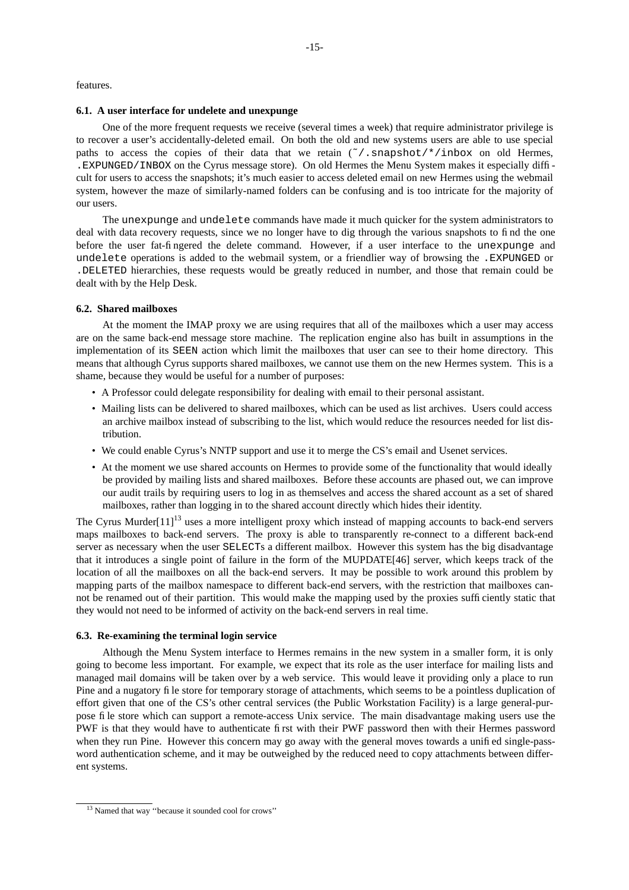features.

#### **6.1. A user interface for undelete and unexpunge**

One of the more frequent requests we receive (several times a week) that require administrator privilege is to recover a user's accidentally-deleted email. On both the old and new systems users are able to use special paths to access the copies of their data that we retain  $(\gamma)$ . snapshot/ $\star$ /inbox on old Hermes, .EXPUNGED/INBOX on the Cyrus message store). On old Hermes the Menu System makes it especially difficult for users to access the snapshots; it's much easier to access deleted email on new Hermes using the webmail system, however the maze of similarly-named folders can be confusing and is too intricate for the majority of our users.

The unexpunge and undelete commands have made it much quicker for the system administrators to deal with data recovery requests, since we no longer have to dig through the various snapshots to find the one before the user fat-fingered the delete command. However, if a user interface to the unexpunge and undelete operations is added to the webmail system, or a friendlier way of browsing the .EXPUNGED or .DELETED hierarchies, these requests would be greatly reduced in number, and those that remain could be dealt with by the Help Desk.

# **6.2. Shared mailboxes**

At the moment the IMAP proxy we are using requires that all of the mailboxes which a user may access are on the same back-end message store machine. The replication engine also has built in assumptions in the implementation of its SEEN action which limit the mailboxes that user can see to their home directory. This means that although Cyrus supports shared mailboxes, we cannot use them on the new Hermes system. This is a shame, because they would be useful for a number of purposes:

- A Professor could delegate responsibility for dealing with email to their personal assistant.
- Mailing lists can be delivered to shared mailboxes, which can be used as list archives. Users could access an archive mailbox instead of subscribing to the list, which would reduce the resources needed for list distribution.
- We could enable Cyrus's NNTP support and use it to merge the CS's email and Usenet services.
- At the moment we use shared accounts on Hermes to provide some of the functionality that would ideally be provided by mailing lists and shared mailboxes. Before these accounts are phased out, we can improve our audit trails by requiring users to log in as themselves and access the shared account as a set of shared mailboxes, rather than logging in to the shared account directly which hides their identity.

The Cyrus Murder $[11]^{13}$  uses a more intelligent proxy which instead of mapping accounts to back-end servers maps mailboxes to back-end servers. The proxy is able to transparently re-connect to a different back-end server as necessary when the user SELECTs a different mailbox. However this system has the big disadvantage that it introduces a single point of failure in the form of the MUPDATE[46] server, which keeps track of the location of all the mailboxes on all the back-end servers. It may be possible to work around this problem by mapping parts of the mailbox namespace to different back-end servers, with the restriction that mailboxes cannot be renamed out of their partition. This would make the mapping used by the proxies sufficiently static that they would not need to be informed of activity on the back-end servers in real time.

#### **6.3. Re-examining the terminal login service**

Although the Menu System interface to Hermes remains in the new system in a smaller form, it is only going to become less important. For example, we expect that its role as the user interface for mailing lists and managed mail domains will be taken over by a web service. This would leave it providing only a place to run Pine and a nugatory file store for temporary storage of attachments, which seems to be a pointless duplication of effort given that one of the CS's other central services (the Public Workstation Facility) is a large general-purpose file store which can support a remote-access Unix service. The main disadvantage making users use the PWF is that they would have to authenticate first with their PWF password then with their Hermes password when they run Pine. However this concern may go away with the general moves towards a unified single-password authentication scheme, and it may be outweighed by the reduced need to copy attachments between different systems.

<sup>&</sup>lt;sup>13</sup> Named that way "because it sounded cool for crows"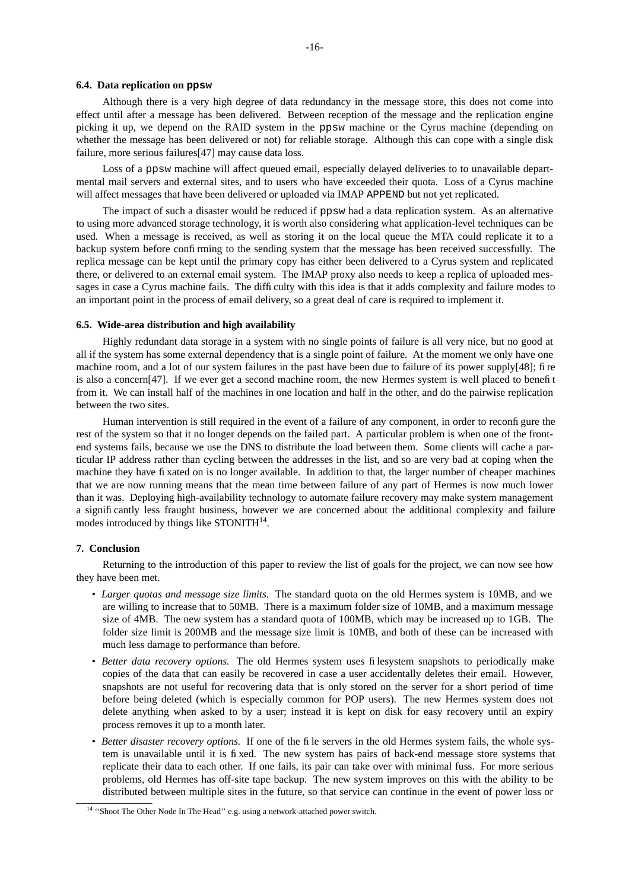### **6.4. Data replication on ppsw**

Although there is a very high degree of data redundancy in the message store, this does not come into effect until after a message has been delivered. Between reception of the message and the replication engine picking it up, we depend on the RAID system in the ppsw machine or the Cyrus machine (depending on whether the message has been delivered or not) for reliable storage. Although this can cope with a single disk failure, more serious failures[47] may cause data loss.

Loss of a ppsw machine will affect queued email, especially delayed deliveries to to unavailable departmental mail servers and external sites, and to users who have exceeded their quota. Loss of a Cyrus machine will affect messages that have been delivered or uploaded via IMAP APPEND but not yet replicated.

The impact of such a disaster would be reduced if ppsw had a data replication system. As an alternative to using more advanced storage technology, it is worth also considering what application-level techniques can be used. When a message is received, as well as storing it on the local queue the MTA could replicate it to a backup system before confirming to the sending system that the message has been received successfully. The replica message can be kept until the primary copy has either been delivered to a Cyrus system and replicated there, or delivered to an external email system. The IMAP proxy also needs to keep a replica of uploaded messages in case a Cyrus machine fails. The difficulty with this idea is that it adds complexity and failure modes to an important point in the process of email delivery, soagreat deal of care is required to implement it.

### **6.5. Wide-area distribution and high availability**

Highly redundant data storage in a system with no single points of failure is all very nice, but no good at all if the system has some external dependency that is a single point of failure. At the moment we only have one machine room, and a lot of our system failures in the past have been due to failure of its power supply[48]; fire is also a concern[47]. If we ever get a second machine room, the new Hermes system is well placed to benefit from it. We can install half of the machines in one location and half in the other, and do the pairwise replication between the two sites.

Human intervention is still required in the event of a failure of any component, in order to reconfigure the rest of the system so that it no longer depends on the failed part. A particular problem is when one of the frontend systems fails, because we use the DNS to distribute the load between them. Some clients will cache a particular IP address rather than cycling between the addresses in the list, and so are very bad at coping when the machine they have fixated on is no longer available. In addition to that, the larger number of cheaper machines that we are now running means that the mean time between failure of any part of Hermes is now much lower than it was. Deploying high-availability technology to automate failure recovery may make system management a significantly less fraught business, however we are concerned about the additional complexity and failure modes introduced by things like STONITH<sup>14</sup>.

### **7. Conclusion**

Returning to the introduction of this paper to review the list of goals for the project, we can now see how they have been met.

- *Larger quotas and message size limits.* The standard quota on the old Hermes system is 10MB, and we are willing to increase that to 50MB. There is a maximum folder size of 10MB, and a maximum message size of 4MB. The new system has a standard quota of 100MB, which may be increased up to 1GB. The folder size limit is 200MB and the message size limit is 10MB, and both of these can be increased with much less damage to performance than before.
- *Better data recovery options.* The old Hermes system uses filesystem snapshots to periodically make copies of the data that can easily be recovered in case a user accidentally deletes their email. However, snapshots are not useful for recovering data that is only stored on the server for a short period of time before being deleted (which is especially common for POP users). The new Hermes system does not delete anything when asked to by a user; instead it is kept on disk for easy recovery until an expiry process removes it up to a month later.
- *Better disaster recovery options.* If one of the file servers in the old Hermes system fails, the whole system is unavailable until it is fixed. The new system has pairs of back-end message store systems that replicate their data to each other. If one fails, its pair can take over with minimal fuss. For more serious problems, old Hermes has off-site tape backup. The new system improves on this with the ability to be distributed between multiple sites in the future, so that service can continue in the event of power loss or

<sup>&</sup>lt;sup>14</sup> "Shoot The Other Node In The Head" e.g. using a network-attached power switch.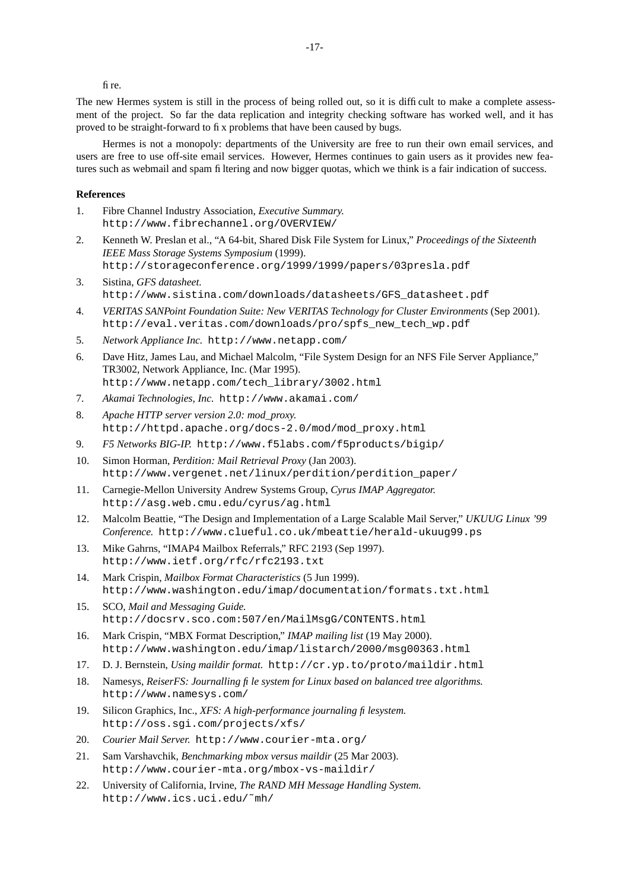fire.

The new Hermes system is still in the process of being rolled out, so it is difficult to make a complete assessment of the project. So far the data replication and integrity checking software has worked well, and it has proved to be straight-forward to fix problems that have been caused by bugs.

Hermes is not a monopoly: departments of the University are free to run their own email services, and users are free to use off-site email services. However, Hermes continues to gain users as it provides new features such as webmail and spam filtering and now bigger quotas, which we think is a fair indication of success.

#### **References**

- 1. Fibre Channel Industry Association, *Executive Summary.* http://www.fibrechannel.org/OVERVIEW/
- 2. Kenneth W. Preslan et al., "A 64-bit, Shared Disk File System for Linux," *Proceedings of the Sixteenth IEEE Mass Storage Systems Symposium* (1999). http://storageconference.org/1999/1999/papers/03presla.pdf
- 3. Sistina, *GFS datasheet.* http://www.sistina.com/downloads/datasheets/GFS\_datasheet.pdf
- 4. *VERITAS SANPoint Foundation Suite: New VERITAS Technology for Cluster Environments* (Sep 2001). http://eval.veritas.com/downloads/pro/spfs\_new\_tech\_wp.pdf
- 5. *Network Appliance Inc.* http://www.netapp.com/
- 6. Dave Hitz, James Lau, and Michael Malcolm, "File System Design for an NFS File Server Appliance," TR3002, Network Appliance, Inc. (Mar 1995). http://www.netapp.com/tech\_library/3002.html
- 7. *Akamai Technologies, Inc.* http://www.akamai.com/
- 8. *Apache HTTP server version 2.0: mod\_proxy.* http://httpd.apache.org/docs-2.0/mod/mod\_proxy.html
- 9. *F5 Networks BIG-IP.* http://www.f5labs.com/f5products/bigip/
- 10. Simon Horman, *Perdition: Mail Retrieval Proxy* (Jan 2003). http://www.vergenet.net/linux/perdition/perdition\_paper/
- 11. Carnegie-Mellon University Andrew Systems Group, *Cyrus IMAP Aggregator.* http://asg.web.cmu.edu/cyrus/ag.html
- 12. Malcolm Beattie, "The Design and Implementation of a Large Scalable Mail Server," *UKUUG Linux '99 Conference.* http://www.clueful.co.uk/mbeattie/herald-ukuug99.ps
- 13. Mike Gahrns, "IMAP4 Mailbox Referrals," RFC 2193 (Sep 1997). http://www.ietf.org/rfc/rfc2193.txt
- 14. Mark Crispin, *Mailbox Format Characteristics* (5 Jun 1999). http://www.washington.edu/imap/documentation/formats.txt.html
- 15. SCO, *Mail and Messaging Guide.* http://docsrv.sco.com:507/en/MailMsgG/CONTENTS.html
- 16. Mark Crispin, "MBX Format Description," *IMAP mailing list* (19 May 2000). http://www.washington.edu/imap/listarch/2000/msg00363.html
- 17. D. J. Bernstein, *Using maildir format.* http://cr.yp.to/proto/maildir.html
- 18. Namesys, *ReiserFS: Journalling file system for Linux based on balanced tree algorithms.* http://www.namesys.com/
- 19. Silicon Graphics, Inc., *XFS: A high-performance journaling filesystem.* http://oss.sgi.com/projects/xfs/
- 20. *Courier Mail Server.* http://www.courier-mta.org/
- 21. Sam Varshavchik, *Benchmarking mbox versus maildir* (25 Mar 2003). http://www.courier-mta.org/mbox-vs-maildir/
- 22. University of California, Irvine, *The RAND MH Message Handling System.* http://www.ics.uci.edu/˜mh/